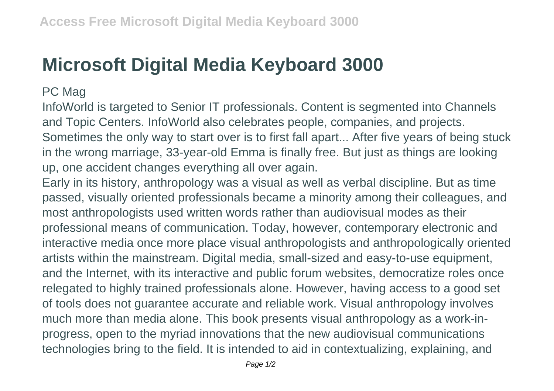## **Microsoft Digital Media Keyboard 3000**

## PC Mag

InfoWorld is targeted to Senior IT professionals. Content is segmented into Channels and Topic Centers. InfoWorld also celebrates people, companies, and projects. Sometimes the only way to start over is to first fall apart... After five years of being stuck in the wrong marriage, 33-year-old Emma is finally free. But just as things are looking up, one accident changes everything all over again.

Early in its history, anthropology was a visual as well as verbal discipline. But as time passed, visually oriented professionals became a minority among their colleagues, and most anthropologists used written words rather than audiovisual modes as their professional means of communication. Today, however, contemporary electronic and interactive media once more place visual anthropologists and anthropologically oriented artists within the mainstream. Digital media, small-sized and easy-to-use equipment, and the Internet, with its interactive and public forum websites, democratize roles once relegated to highly trained professionals alone. However, having access to a good set of tools does not guarantee accurate and reliable work. Visual anthropology involves much more than media alone. This book presents visual anthropology as a work-inprogress, open to the myriad innovations that the new audiovisual communications technologies bring to the field. It is intended to aid in contextualizing, explaining, and